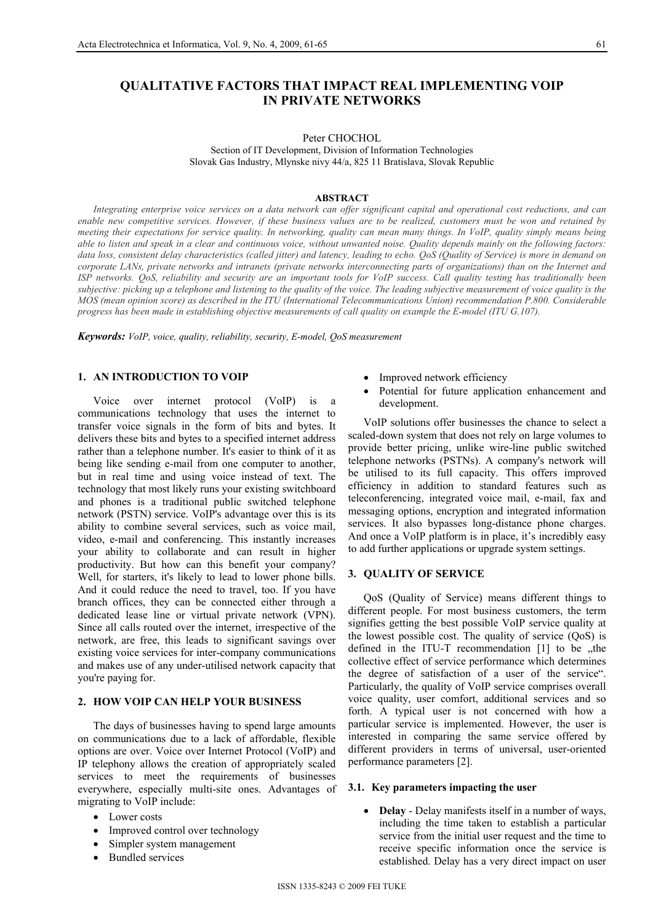# **QUALITATIVE FACTORS THAT IMPACT REAL IMPLEMENTING VOIP IN PRIVATE NETWORKS**

Peter CHOCHOL

Section of IT Development, Division of Information Technologies Slovak Gas Industry, Mlynske nivy 44/a, 825 11 Bratislava, Slovak Republic

#### **ABSTRACT**

*Integrating enterprise voice services on a data network can offer significant capital and operational cost reductions, and can enable new competitive services. However, if these business values are to be realized, customers must be won and retained by meeting their expectations for service quality. In networking, quality can mean many things. In VoIP, quality simply means being able to listen and speak in a clear and continuous voice, without unwanted noise. Quality depends mainly on the following factors: data loss, consistent delay characteristics (called jitter) and latency, leading to echo. QoS (Quality of Service) is more in demand on corporate LANs, private networks and intranets (private networks interconnecting parts of organizations) than on the Internet and ISP networks. QoS, reliability and security are an important tools for VoIP success. Call quality testing has traditionally been subjective: picking up a telephone and listening to the quality of the voice. The leading subjective measurement of voice quality is the MOS (mean opinion score) as described in the ITU (International Telecommunications Union) recommendation P.800. Considerable progress has been made in establishing objective measurements of call quality on example the E-model (ITU G.107).* 

*Keywords: VoIP, voice, quality, reliability, security, E-model, QoS measurement* 

## **1. AN INTRODUCTION TO VOIP**

Voice over internet protocol (VoIP) is a communications technology that uses the internet to transfer voice signals in the form of bits and bytes. It delivers these bits and bytes to a specified internet address rather than a telephone number. It's easier to think of it as being like sending e-mail from one computer to another, but in real time and using voice instead of text. The technology that most likely runs your existing switchboard and phones is a traditional public switched telephone network (PSTN) service. VoIP's advantage over this is its ability to combine several services, such as voice mail, video, e-mail and conferencing. This instantly increases your ability to collaborate and can result in higher productivity. But how can this benefit your company? Well, for starters, it's likely to lead to lower phone bills. And it could reduce the need to travel, too. If you have branch offices, they can be connected either through a dedicated lease line or virtual private network (VPN). Since all calls routed over the internet, irrespective of the network, are free, this leads to significant savings over existing voice services for inter-company communications and makes use of any under-utilised network capacity that you're paying for.

## **2. HOW VOIP CAN HELP YOUR BUSINESS**

The days of businesses having to spend large amounts on communications due to a lack of affordable, flexible options are over. Voice over Internet Protocol (VoIP) and IP telephony allows the creation of appropriately scaled services to meet the requirements of businesses everywhere, especially multi-site ones. Advantages of migrating to VoIP include:

- Lower costs
- Improved control over technology
- Simpler system management
- **Bundled** services
- Improved network efficiency
- Potential for future application enhancement and development.

VoIP solutions offer businesses the chance to select a scaled-down system that does not rely on large volumes to provide better pricing, unlike wire-line public switched telephone networks (PSTNs). A company's network will be utilised to its full capacity. This offers improved efficiency in addition to standard features such as teleconferencing, integrated voice mail, e-mail, fax and messaging options, encryption and integrated information services. It also bypasses long-distance phone charges. And once a VoIP platform is in place, it's incredibly easy to add further applications or upgrade system settings.

## **3. QUALITY OF SERVICE**

QoS (Quality of Service) means different things to different people. For most business customers, the term signifies getting the best possible VoIP service quality at the lowest possible cost. The quality of service (QoS) is defined in the ITU-T recommendation  $[1]$  to be  $[1]$ , the collective effect of service performance which determines the degree of satisfaction of a user of the service". Particularly, the quality of VoIP service comprises overall voice quality, user comfort, additional services and so forth. A typical user is not concerned with how a particular service is implemented. However, the user is interested in comparing the same service offered by different providers in terms of universal, user-oriented performance parameters [2].

#### **3.1. Key parameters impacting the user**

• **Delay** - Delay manifests itself in a number of ways, including the time taken to establish a particular service from the initial user request and the time to receive specific information once the service is established. Delay has a very direct impact on user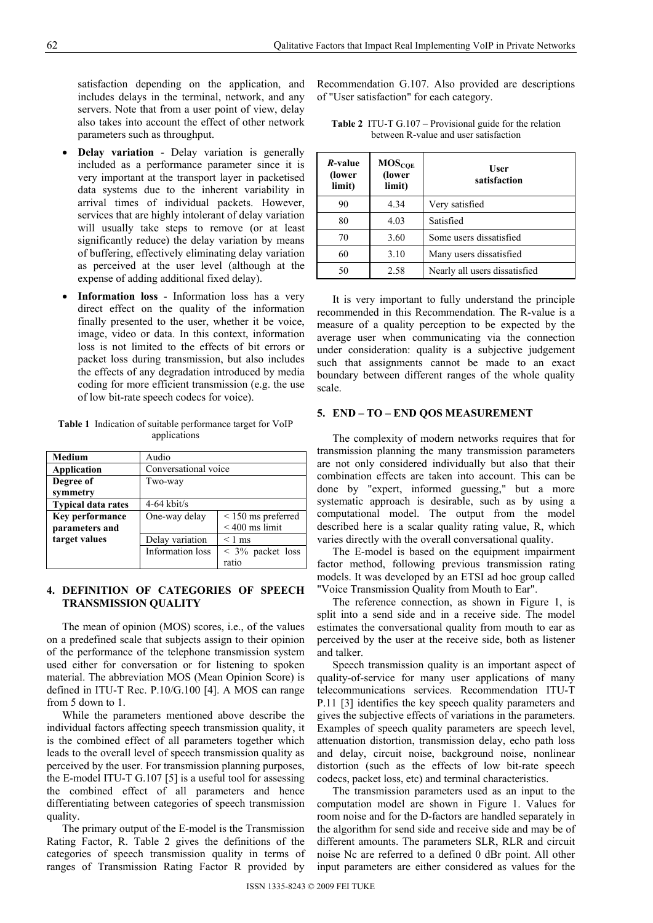satisfaction depending on the application, and includes delays in the terminal, network, and any servers. Note that from a user point of view, delay also takes into account the effect of other network parameters such as throughput.

- **Delay variation**  Delay variation is generally included as a performance parameter since it is very important at the transport layer in packetised data systems due to the inherent variability in arrival times of individual packets. However, services that are highly intolerant of delay variation will usually take steps to remove (or at least significantly reduce) the delay variation by means of buffering, effectively eliminating delay variation as perceived at the user level (although at the expense of adding additional fixed delay).
- **Information loss**  Information loss has a very direct effect on the quality of the information finally presented to the user, whether it be voice, image, video or data. In this context, information loss is not limited to the effects of bit errors or packet loss during transmission, but also includes the effects of any degradation introduced by media coding for more efficient transmission (e.g. the use of low bit-rate speech codecs for voice).

**Table 1** Indication of suitable performance target for VoIP applications

| <b>Medium</b>             | Audio                |                         |
|---------------------------|----------------------|-------------------------|
| Application               | Conversational voice |                         |
| Degree of                 | Two-way              |                         |
| symmetry                  |                      |                         |
| <b>Typical data rates</b> | $4-64$ kbit/s        |                         |
| <b>Key performance</b>    | One-way delay        | $\leq$ 150 ms preferred |
| parameters and            |                      | $< 400$ ms limit        |
| target values             | Delay variation      | $\leq 1$ ms             |
|                           | Information loss     | $<$ 3% packet loss      |
|                           |                      | ratio                   |

## **4. DEFINITION OF CATEGORIES OF SPEECH TRANSMISSION QUALITY**

The mean of opinion (MOS) scores, i.e., of the values on a predefined scale that subjects assign to their opinion of the performance of the telephone transmission system used either for conversation or for listening to spoken material. The abbreviation MOS (Mean Opinion Score) is defined in ITU-T Rec. P.10/G.100 [4]. A MOS can range from 5 down to 1.

While the parameters mentioned above describe the individual factors affecting speech transmission quality, it is the combined effect of all parameters together which leads to the overall level of speech transmission quality as perceived by the user. For transmission planning purposes, the E-model ITU-T G.107 [5] is a useful tool for assessing the combined effect of all parameters and hence differentiating between categories of speech transmission quality.

The primary output of the E-model is the Transmission Rating Factor, R. Table 2 gives the definitions of the categories of speech transmission quality in terms of ranges of Transmission Rating Factor R provided by

Recommendation G.107. Also provided are descriptions of "User satisfaction" for each category.

| <i>R</i> -value<br>(lower<br>limit) | MOS <sub>CQE</sub><br>(lower<br>limit) | <b>User</b><br>satisfaction   |  |
|-------------------------------------|----------------------------------------|-------------------------------|--|
| 90                                  | 4.34                                   | Very satisfied                |  |
| 80                                  | 4.03                                   | Satisfied                     |  |
| 70                                  | 3.60                                   | Some users dissatisfied       |  |
| 60                                  | 3.10                                   | Many users dissatisfied       |  |
| 50                                  | 2.58                                   | Nearly all users dissatisfied |  |

**Table 2** ITU-T G.107 – Provisional guide for the relation between R-value and user satisfaction

It is very important to fully understand the principle recommended in this Recommendation. The R-value is a measure of a quality perception to be expected by the average user when communicating via the connection under consideration: quality is a subjective judgement such that assignments cannot be made to an exact boundary between different ranges of the whole quality scale.

## **5. END – TO – END QOS MEASUREMENT**

The complexity of modern networks requires that for transmission planning the many transmission parameters are not only considered individually but also that their combination effects are taken into account. This can be done by "expert, informed guessing," but a more systematic approach is desirable, such as by using a computational model. The output from the model described here is a scalar quality rating value, R, which varies directly with the overall conversational quality.

The E-model is based on the equipment impairment factor method, following previous transmission rating models. It was developed by an ETSI ad hoc group called "Voice Transmission Quality from Mouth to Ear".

The reference connection, as shown in Figure 1, is split into a send side and in a receive side. The model estimates the conversational quality from mouth to ear as perceived by the user at the receive side, both as listener and talker.

Speech transmission quality is an important aspect of quality-of-service for many user applications of many telecommunications services. Recommendation ITU-T P.11 [3] identifies the key speech quality parameters and gives the subjective effects of variations in the parameters. Examples of speech quality parameters are speech level, attenuation distortion, transmission delay, echo path loss and delay, circuit noise, background noise, nonlinear distortion (such as the effects of low bit-rate speech codecs, packet loss, etc) and terminal characteristics.

The transmission parameters used as an input to the computation model are shown in Figure 1. Values for room noise and for the D-factors are handled separately in the algorithm for send side and receive side and may be of different amounts. The parameters SLR, RLR and circuit noise Nc are referred to a defined 0 dBr point. All other input parameters are either considered as values for the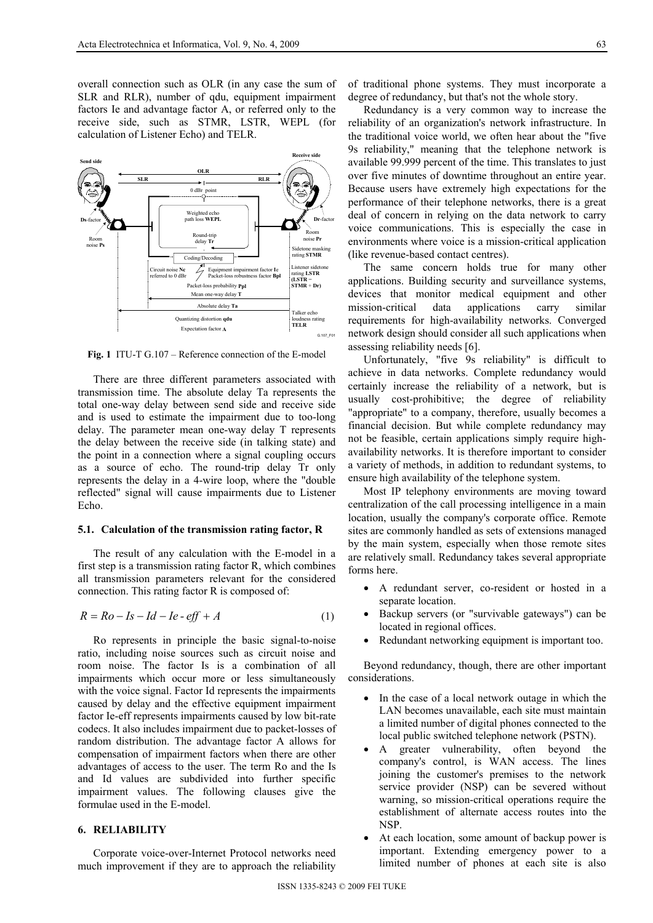overall connection such as OLR (in any case the sum of SLR and RLR), number of qdu, equipment impairment factors Ie and advantage factor A, or referred only to the receive side, such as STMR, LSTR, WEPL (for calculation of Listener Echo) and TELR.



**Fig. 1** ITU-T G.107 – Reference connection of the E-model

There are three different parameters associated with transmission time. The absolute delay Ta represents the total one-way delay between send side and receive side and is used to estimate the impairment due to too-long delay. The parameter mean one-way delay T represents the delay between the receive side (in talking state) and the point in a connection where a signal coupling occurs as a source of echo. The round-trip delay Tr only represents the delay in a 4-wire loop, where the "double reflected" signal will cause impairments due to Listener Echo.

### **5.1. Calculation of the transmission rating factor, R**

The result of any calculation with the E-model in a first step is a transmission rating factor R, which combines all transmission parameters relevant for the considered connection. This rating factor R is composed of:

$$
R = Ro - Is - Id - Ie - eff + A \tag{1}
$$

Ro represents in principle the basic signal-to-noise ratio, including noise sources such as circuit noise and room noise. The factor Is is a combination of all impairments which occur more or less simultaneously with the voice signal. Factor Id represents the impairments caused by delay and the effective equipment impairment factor Ie-eff represents impairments caused by low bit-rate codecs. It also includes impairment due to packet-losses of random distribution. The advantage factor A allows for compensation of impairment factors when there are other advantages of access to the user. The term Ro and the Is and Id values are subdivided into further specific impairment values. The following clauses give the formulae used in the E-model.

#### **6. RELIABILITY**

Corporate voice-over-Internet Protocol networks need much improvement if they are to approach the reliability of traditional phone systems. They must incorporate a degree of redundancy, but that's not the whole story.

Redundancy is a very common way to increase the reliability of an organization's network infrastructure. In the traditional voice world, we often hear about the "five 9s reliability," meaning that the telephone network is available 99.999 percent of the time. This translates to just over five minutes of downtime throughout an entire year. Because users have extremely high expectations for the performance of their telephone networks, there is a great deal of concern in relying on the data network to carry voice communications. This is especially the case in environments where voice is a mission-critical application (like revenue-based contact centres).

The same concern holds true for many other applications. Building security and surveillance systems, devices that monitor medical equipment and other mission-critical data applications carry similar requirements for high-availability networks. Converged network design should consider all such applications when assessing reliability needs [6].

Unfortunately, "five 9s reliability" is difficult to achieve in data networks. Complete redundancy would certainly increase the reliability of a network, but is usually cost-prohibitive; the degree of reliability "appropriate" to a company, therefore, usually becomes a financial decision. But while complete redundancy may not be feasible, certain applications simply require highavailability networks. It is therefore important to consider a variety of methods, in addition to redundant systems, to ensure high availability of the telephone system.

Most IP telephony environments are moving toward centralization of the call processing intelligence in a main location, usually the company's corporate office. Remote sites are commonly handled as sets of extensions managed by the main system, especially when those remote sites are relatively small. Redundancy takes several appropriate forms here.

- A redundant server, co-resident or hosted in a separate location.
- Backup servers (or "survivable gateways") can be located in regional offices.
- Redundant networking equipment is important too.

Beyond redundancy, though, there are other important considerations.

- In the case of a local network outage in which the LAN becomes unavailable, each site must maintain a limited number of digital phones connected to the local public switched telephone network (PSTN).
- A greater vulnerability, often beyond the company's control, is WAN access. The lines joining the customer's premises to the network service provider (NSP) can be severed without warning, so mission-critical operations require the establishment of alternate access routes into the NSP.
- At each location, some amount of backup power is important. Extending emergency power to a limited number of phones at each site is also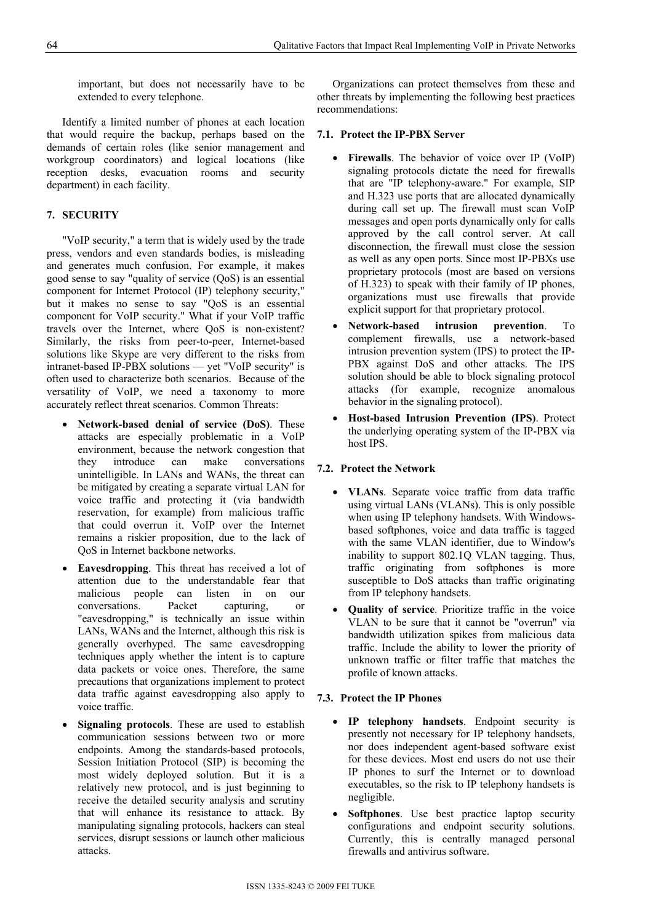important, but does not necessarily have to be extended to every telephone.

Identify a limited number of phones at each location that would require the backup, perhaps based on the demands of certain roles (like senior management and workgroup coordinators) and logical locations (like reception desks, evacuation rooms and security department) in each facility.

## **7. SECURITY**

"VoIP security," a term that is widely used by the trade press, vendors and even standards bodies, is misleading and generates much confusion. For example, it makes good sense to say "quality of service (QoS) is an essential component for Internet Protocol (IP) telephony security," but it makes no sense to say "QoS is an essential component for VoIP security." What if your VoIP traffic travels over the Internet, where QoS is non-existent? Similarly, the risks from peer-to-peer, Internet-based solutions like Skype are very different to the risks from intranet-based IP-PBX solutions — yet "VoIP security" is often used to characterize both scenarios. Because of the versatility of VoIP, we need a taxonomy to more accurately reflect threat scenarios. Common Threats:

- **Network-based denial of service (DoS)**. These attacks are especially problematic in a VoIP environment, because the network congestion that they introduce can make conversations unintelligible. In LANs and WANs, the threat can be mitigated by creating a separate virtual LAN for voice traffic and protecting it (via bandwidth reservation, for example) from malicious traffic that could overrun it. VoIP over the Internet remains a riskier proposition, due to the lack of QoS in Internet backbone networks.
- **Eavesdropping**. This threat has received a lot of attention due to the understandable fear that malicious people can listen in on our conversations. Packet capturing, or "eavesdropping," is technically an issue within LANs, WANs and the Internet, although this risk is generally overhyped. The same eavesdropping techniques apply whether the intent is to capture data packets or voice ones. Therefore, the same precautions that organizations implement to protect data traffic against eavesdropping also apply to voice traffic.
- **Signaling protocols**. These are used to establish communication sessions between two or more endpoints. Among the standards-based protocols, Session Initiation Protocol (SIP) is becoming the most widely deployed solution. But it is a relatively new protocol, and is just beginning to receive the detailed security analysis and scrutiny that will enhance its resistance to attack. By manipulating signaling protocols, hackers can steal services, disrupt sessions or launch other malicious attacks.

Organizations can protect themselves from these and other threats by implementing the following best practices recommendations:

## **7.1. Protect the IP-PBX Server**

- **Firewalls**. The behavior of voice over IP (VoIP) signaling protocols dictate the need for firewalls that are "IP telephony-aware." For example, SIP and H.323 use ports that are allocated dynamically during call set up. The firewall must scan VoIP messages and open ports dynamically only for calls approved by the call control server. At call disconnection, the firewall must close the session as well as any open ports. Since most IP-PBXs use proprietary protocols (most are based on versions of H.323) to speak with their family of IP phones, organizations must use firewalls that provide explicit support for that proprietary protocol.
- **Network-based intrusion prevention**. To complement firewalls, use a network-based intrusion prevention system (IPS) to protect the IP-PBX against DoS and other attacks. The IPS solution should be able to block signaling protocol attacks (for example, recognize anomalous behavior in the signaling protocol).
- **Host-based Intrusion Prevention (IPS)**. Protect the underlying operating system of the IP-PBX via host IPS.

## **7.2. Protect the Network**

- **VLANs**. Separate voice traffic from data traffic using virtual LANs (VLANs). This is only possible when using IP telephony handsets. With Windowsbased softphones, voice and data traffic is tagged with the same VLAN identifier, due to Window's inability to support 802.1Q VLAN tagging. Thus, traffic originating from softphones is more susceptible to DoS attacks than traffic originating from IP telephony handsets.
- **Quality of service**. Prioritize traffic in the voice VLAN to be sure that it cannot be "overrun" via bandwidth utilization spikes from malicious data traffic. Include the ability to lower the priority of unknown traffic or filter traffic that matches the profile of known attacks.

## **7.3. Protect the IP Phones**

- **IP telephony handsets**. Endpoint security is presently not necessary for IP telephony handsets, nor does independent agent-based software exist for these devices. Most end users do not use their IP phones to surf the Internet or to download executables, so the risk to IP telephony handsets is negligible.
- **Softphones**. Use best practice laptop security configurations and endpoint security solutions. Currently, this is centrally managed personal firewalls and antivirus software.